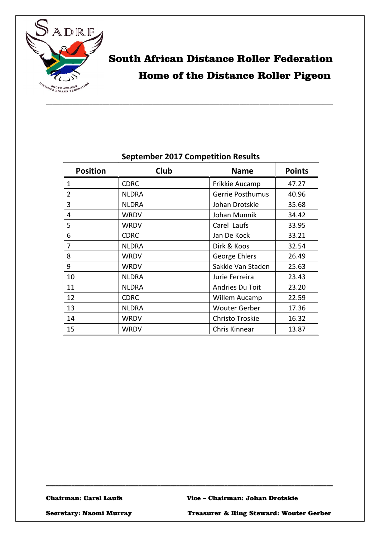

# South African Distance Roller Federation Home of the Distance Roller Pigeon

| <b>Position</b> | Club         | <b>Name</b>          | <b>Points</b> |
|-----------------|--------------|----------------------|---------------|
| 1               | <b>CDRC</b>  | Frikkie Aucamp       | 47.27         |
| $\overline{2}$  | <b>NLDRA</b> | Gerrie Posthumus     | 40.96         |
| 3               | <b>NLDRA</b> | Johan Drotskie       | 35.68         |
| 4               | WRDV         | Johan Munnik         | 34.42         |
| 5               | WRDV         | Carel Laufs          | 33.95         |
| 6               | <b>CDRC</b>  | Jan De Kock          | 33.21         |
| 7               | <b>NLDRA</b> | Dirk & Koos          | 32.54         |
| 8               | <b>WRDV</b>  | George Ehlers        | 26.49         |
| 9               | WRDV         | Sakkie Van Staden    | 25.63         |
| 10              | <b>NLDRA</b> | Jurie Ferreira       | 23.43         |
| 11              | <b>NLDRA</b> | Andries Du Toit      | 23.20         |
| 12              | <b>CDRC</b>  | Willem Aucamp        | 22.59         |
| 13              | <b>NLDRA</b> | <b>Wouter Gerber</b> | 17.36         |
| 14              | WRDV         | Christo Troskie      | 16.32         |
| 15              | WRDV         | Chris Kinnear        | 13.87         |

\_\_\_\_\_\_\_\_\_\_\_\_\_\_\_\_\_\_\_\_\_\_\_\_\_\_\_\_\_\_\_\_\_\_\_\_\_\_\_\_\_\_\_\_\_\_\_\_\_\_\_\_\_\_\_\_\_\_\_\_\_\_\_\_\_\_\_\_\_\_\_\_\_\_\_\_\_\_\_\_\_\_\_\_\_\_\_\_\_\_

#### **September 2017 Competition Results**

\_\_\_\_\_\_\_\_\_\_\_\_\_\_\_\_\_\_\_\_\_\_\_\_\_\_\_\_\_\_\_\_\_\_\_\_\_\_\_\_\_\_\_\_\_\_\_\_\_\_\_\_\_\_\_\_\_\_\_\_\_\_\_\_\_\_\_\_\_\_\_\_\_\_\_\_\_\_\_\_\_\_\_\_\_\_

Secretary: Naomi Murray Treasurer & Ring Steward: Wouter Gerber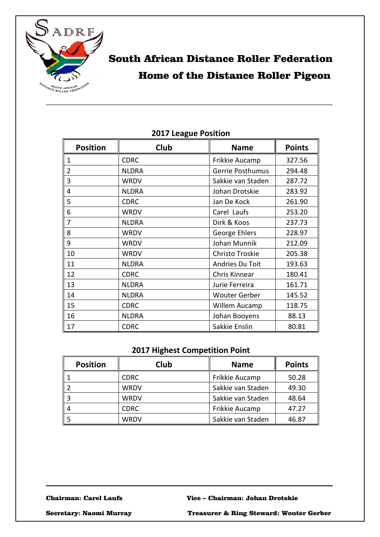

## South African Distance Roller Federation Home of the Distance Roller Pigeon

| <b>Position</b> | Club         | <b>Name</b>          | <b>Points</b> |
|-----------------|--------------|----------------------|---------------|
| 1               | <b>CDRC</b>  | Frikkie Aucamp       | 327.56        |
| $\overline{2}$  | <b>NLDRA</b> | Gerrie Posthumus     | 294.48        |
| 3               | <b>WRDV</b>  | Sakkie van Staden    | 287.72        |
| 4               | <b>NLDRA</b> | Johan Drotskie       | 283.92        |
| 5               | <b>CDRC</b>  | Jan De Kock          | 261.90        |
| 6               | <b>WRDV</b>  | Carel Laufs          | 253.20        |
| 7               | <b>NLDRA</b> | Dirk & Koos          | 237.73        |
| 8               | <b>WRDV</b>  | George Ehlers        | 228.97        |
| 9               | <b>WRDV</b>  | Johan Munnik         | 212.09        |
| 10              | <b>WRDV</b>  | Christo Troskie      | 205.38        |
| 11              | <b>NLDRA</b> | Andries Du Toit      | 193.63        |
| 12              | <b>CDRC</b>  | Chris Kinnear        | 180.41        |
| 13              | <b>NLDRA</b> | Jurie Ferreira       | 161.71        |
| 14              | <b>NLDRA</b> | <b>Wouter Gerber</b> | 145.52        |
| 15              | <b>CDRC</b>  | Willem Aucamp        | 118.75        |
| 16              | <b>NLDRA</b> | Johan Booyens        | 88.13         |
| 17              | <b>CDRC</b>  | Sakkie Enslin        | 80.81         |

#### **2017 League Position**

### **2017 Highest Competition Point**

| <b>Position</b> | Club        | <b>Name</b>       | <b>Points</b> |
|-----------------|-------------|-------------------|---------------|
|                 | <b>CDRC</b> | Frikkie Aucamp    | 50.28         |
|                 | WRDV        | Sakkie van Staden | 49.30         |
|                 | WRDV        | Sakkie van Staden | 48.64         |
|                 | <b>CDRC</b> | Frikkie Aucamp    | 47.27         |
|                 | WRDV        | Sakkie van Staden | 46.87         |

\_\_\_\_\_\_\_\_\_\_\_\_\_\_\_\_\_\_\_\_\_\_\_\_\_\_\_\_\_\_\_\_\_\_\_\_\_\_\_\_\_\_\_\_\_\_\_\_\_\_\_\_\_\_\_\_\_\_\_\_\_\_\_\_\_\_\_\_\_\_\_\_\_\_\_\_\_\_\_\_\_\_\_\_\_\_\_\_\_\_

Secretary: Naomi Murray Treasurer & Ring Steward: Wouter Gerber